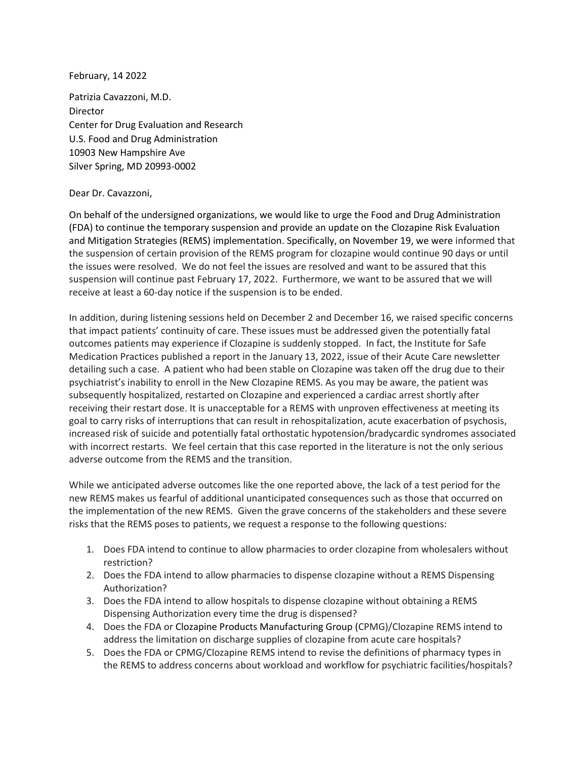February, 14 2022

Patrizia Cavazzoni, M.D. Director Center for Drug Evaluation and Research U.S. Food and Drug Administration 10903 New Hampshire Ave Silver Spring, MD 20993-0002

## Dear Dr. Cavazzoni,

On behalf of the undersigned organizations, we would like to urge the Food and Drug Administration (FDA) to continue the temporary suspension and provide an update on the Clozapine Risk Evaluation and Mitigation Strategies (REMS) implementation. Specifically, on November 19, we were informed that the suspension of certain provision of the REMS program for clozapine would continue 90 days or until the issues were resolved. We do not feel the issues are resolved and want to be assured that this suspension will continue past February 17, 2022. Furthermore, we want to be assured that we will receive at least a 60-day notice if the suspension is to be ended.

In addition, during listening sessions held on December 2 and December 16, we raised specific concerns that impact patients' continuity of care. These issues must be addressed given the potentially fatal outcomes patients may experience if Clozapine is suddenly stopped. In fact, the Institute for Safe Medication Practices published a report in the January 13, 2022, issue of their Acute Care newsletter detailing such a case. A patient who had been stable on Clozapine was taken off the drug due to their psychiatrist's inability to enroll in the New Clozapine REMS. As you may be aware, the patient was subsequently hospitalized, restarted on Clozapine and experienced a cardiac arrest shortly after receiving their restart dose. It is unacceptable for a REMS with unproven effectiveness at meeting its goal to carry risks of interruptions that can result in rehospitalization, acute exacerbation of psychosis, increased risk of suicide and potentially fatal orthostatic hypotension/bradycardic syndromes associated with incorrect restarts. We feel certain that this case reported in the literature is not the only serious adverse outcome from the REMS and the transition.

While we anticipated adverse outcomes like the one reported above, the lack of a test period for the new REMS makes us fearful of additional unanticipated consequences such as those that occurred on the implementation of the new REMS. Given the grave concerns of the stakeholders and these severe risks that the REMS poses to patients, we request a response to the following questions:

- 1. Does FDA intend to continue to allow pharmacies to order clozapine from wholesalers without restriction?
- 2. Does the FDA intend to allow pharmacies to dispense clozapine without a REMS Dispensing Authorization?
- 3. Does the FDA intend to allow hospitals to dispense clozapine without obtaining a REMS Dispensing Authorization every time the drug is dispensed?
- 4. Does the FDA or Clozapine Products Manufacturing Group (CPMG)/Clozapine REMS intend to address the limitation on discharge supplies of clozapine from acute care hospitals?
- 5. Does the FDA or CPMG/Clozapine REMS intend to revise the definitions of pharmacy types in the REMS to address concerns about workload and workflow for psychiatric facilities/hospitals?